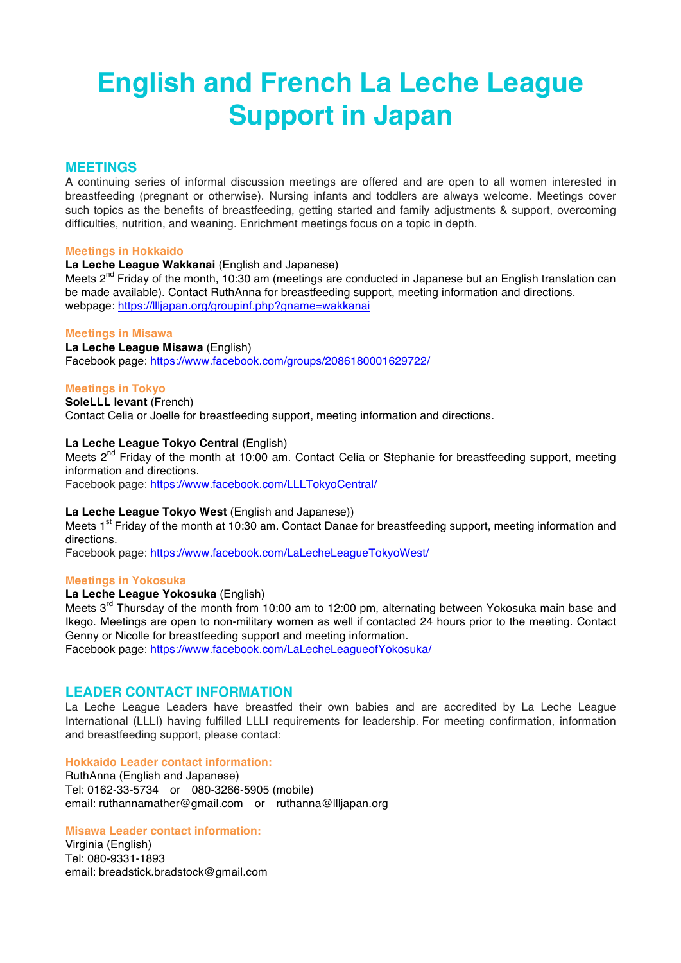# **English and French La Leche League Support in Japan**

# **MEETINGS**

A continuing series of informal discussion meetings are offered and are open to all women interested in breastfeeding (pregnant or otherwise). Nursing infants and toddlers are always welcome. Meetings cover such topics as the benefits of breastfeeding, getting started and family adjustments & support, overcoming difficulties, nutrition, and weaning. Enrichment meetings focus on a topic in depth.

#### **Meetings in Hokkaido**

# **La Leche League Wakkanai** (English and Japanese)

Meets 2<sup>nd</sup> Friday of the month, 10:30 am (meetings are conducted in Japanese but an English translation can be made available). Contact RuthAnna for breastfeeding support, meeting information and directions. webpage: https://llljapan.org/groupinf.php?gname=wakkanai

#### **Meetings in Misawa**

**La Leche League Misawa** (English) Facebook page: https://www.facebook.com/groups/2086180001629722/

#### **Meetings in Tokyo**

**SoleLLL levant** (French) Contact Celia or Joelle for breastfeeding support, meeting information and directions.

# **La Leche League Tokyo Central** (English)

Meets  $2^{nd}$  Friday of the month at 10:00 am. Contact Celia or Stephanie for breastfeeding support, meeting information and directions.

Facebook page: https://www.facebook.com/LLLTokyoCentral/

#### **La Leche League Tokyo West** (English and Japanese))

Meets 1<sup>st</sup> Friday of the month at 10:30 am. Contact Danae for breastfeeding support, meeting information and directions.

Facebook page: https://www.facebook.com/LaLecheLeagueTokyoWest/

#### **Meetings in Yokosuka**

# **La Leche League Yokosuka** (English)

Meets  $3<sup>rd</sup>$  Thursday of the month from 10:00 am to 12:00 pm, alternating between Yokosuka main base and Ikego. Meetings are open to non-military women as well if contacted 24 hours prior to the meeting. Contact Genny or Nicolle for breastfeeding support and meeting information.

Facebook page: https://www.facebook.com/LaLecheLeagueofYokosuka/

# **LEADER CONTACT INFORMATION**

La Leche League Leaders have breastfed their own babies and are accredited by La Leche League International (LLLI) having fulfilled LLLI requirements for leadership. For meeting confirmation, information and breastfeeding support, please contact:

#### **Hokkaido Leader contact information:**

RuthAnna (English and Japanese) Tel: 0162-33-5734 or 080-3266-5905 (mobile) email: ruthannamather@gmail.com or ruthanna@llljapan.org

#### **Misawa Leader contact information:**

Virginia (English) Tel: 080-9331-1893 email: breadstick.bradstock@gmail.com